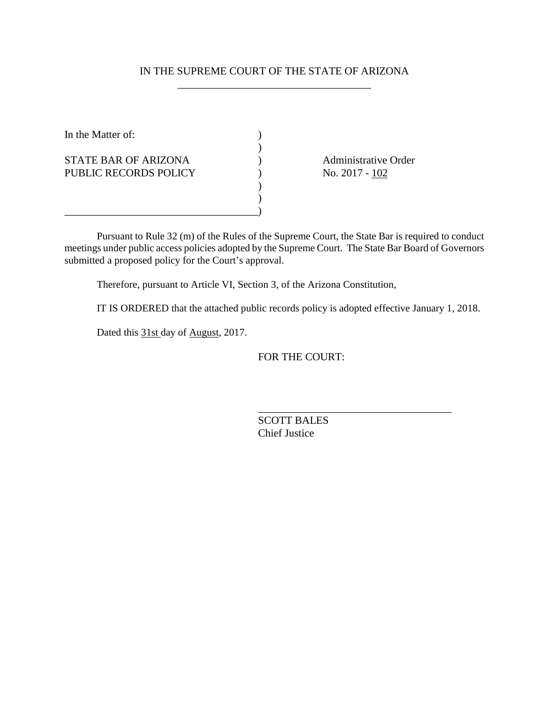# IN THE SUPREME COURT OF THE STATE OF ARIZONA \_\_\_\_\_\_\_\_\_\_\_\_\_\_\_\_\_\_\_\_\_\_\_\_\_\_\_\_\_\_\_\_\_\_\_\_

 $\mathcal{L}$ 

 $\lambda$ )

In the Matter of:  $\qquad \qquad$  ) STATE BAR OF ARIZONA (a) administrative Order PUBLIC RECORDS POLICY ) No. 2017 - 102

\_\_\_\_\_\_\_\_\_\_\_\_\_\_\_\_\_\_\_\_\_\_\_\_\_\_\_\_\_\_\_\_\_\_\_\_)

\_\_\_\_\_\_\_\_\_\_\_\_\_\_\_\_\_\_\_\_\_\_\_\_\_\_\_\_\_\_\_\_\_\_\_\_

Pursuant to Rule 32 (m) of the Rules of the Supreme Court, the State Bar is required to conduct meetings under public access policies adopted by the Supreme Court. The State Bar Board of Governors submitted a proposed policy for the Court's approval.

Therefore, pursuant to Article VI, Section 3, of the Arizona Constitution,

IT IS ORDERED that the attached public records policy is adopted effective January 1, 2018.

Dated this 31st day of August, 2017.

FOR THE COURT:

SCOTT BALES Chief Justice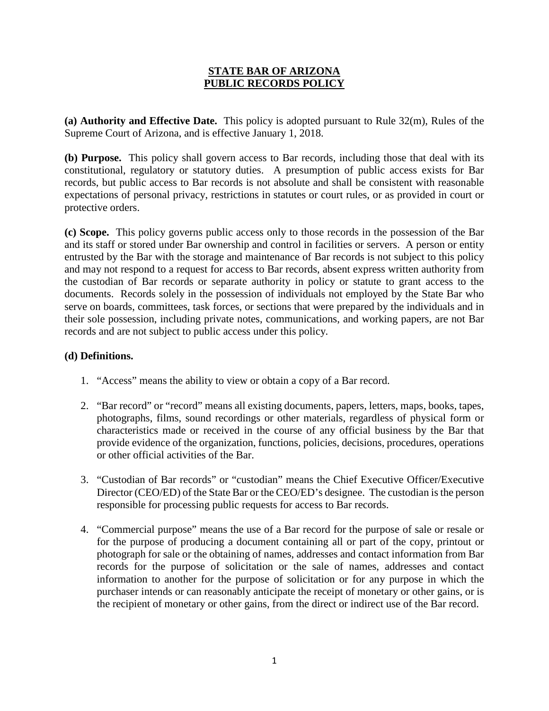# **STATE BAR OF ARIZONA PUBLIC RECORDS POLICY**

**(a) Authority and Effective Date.** This policy is adopted pursuant to Rule 32(m), Rules of the Supreme Court of Arizona, and is effective January 1, 2018.

**(b) Purpose.** This policy shall govern access to Bar records, including those that deal with its constitutional, regulatory or statutory duties. A presumption of public access exists for Bar records, but public access to Bar records is not absolute and shall be consistent with reasonable expectations of personal privacy, restrictions in statutes or court rules, or as provided in court or protective orders.

**(c) Scope.** This policy governs public access only to those records in the possession of the Bar and its staff or stored under Bar ownership and control in facilities or servers. A person or entity entrusted by the Bar with the storage and maintenance of Bar records is not subject to this policy and may not respond to a request for access to Bar records, absent express written authority from the custodian of Bar records or separate authority in policy or statute to grant access to the documents. Records solely in the possession of individuals not employed by the State Bar who serve on boards, committees, task forces, or sections that were prepared by the individuals and in their sole possession, including private notes, communications, and working papers, are not Bar records and are not subject to public access under this policy.

## **(d) Definitions.**

- 1. "Access" means the ability to view or obtain a copy of a Bar record.
- 2. "Bar record" or "record" means all existing documents, papers, letters, maps, books, tapes, photographs, films, sound recordings or other materials, regardless of physical form or characteristics made or received in the course of any official business by the Bar that provide evidence of the organization, functions, policies, decisions, procedures, operations or other official activities of the Bar.
- 3. "Custodian of Bar records" or "custodian" means the Chief Executive Officer/Executive Director (CEO/ED) of the State Bar or the CEO/ED's designee. The custodian is the person responsible for processing public requests for access to Bar records.
- 4. "Commercial purpose" means the use of a Bar record for the purpose of sale or resale or for the purpose of producing a document containing all or part of the copy, printout or photograph for sale or the obtaining of names, addresses and contact information from Bar records for the purpose of solicitation or the sale of names, addresses and contact information to another for the purpose of solicitation or for any purpose in which the purchaser intends or can reasonably anticipate the receipt of monetary or other gains, or is the recipient of monetary or other gains, from the direct or indirect use of the Bar record.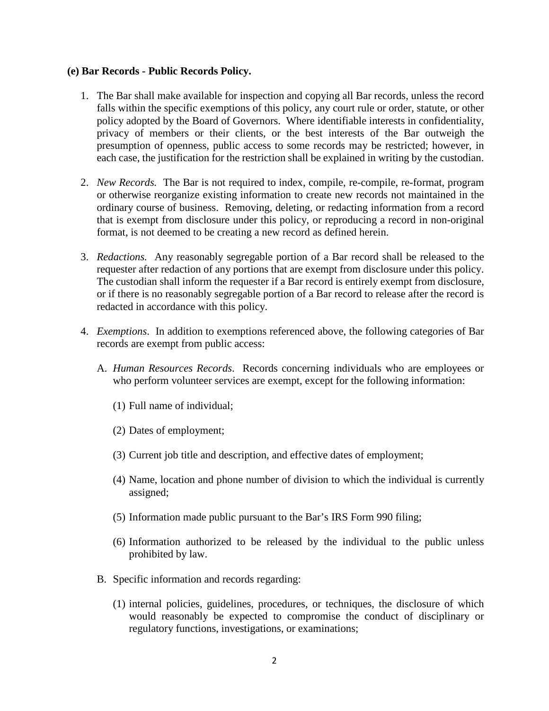#### **(e) Bar Records - Public Records Policy.**

- 1. The Bar shall make available for inspection and copying all Bar records, unless the record falls within the specific exemptions of this policy, any court rule or order, statute, or other policy adopted by the Board of Governors. Where identifiable interests in confidentiality, privacy of members or their clients, or the best interests of the Bar outweigh the presumption of openness, public access to some records may be restricted; however, in each case, the justification for the restriction shall be explained in writing by the custodian.
- 2. *New Records.* The Bar is not required to index, compile, re-compile, re-format, program or otherwise reorganize existing information to create new records not maintained in the ordinary course of business. Removing, deleting, or redacting information from a record that is exempt from disclosure under this policy, or reproducing a record in non-original format, is not deemed to be creating a new record as defined herein.
- 3. *Redactions.* Any reasonably segregable portion of a Bar record shall be released to the requester after redaction of any portions that are exempt from disclosure under this policy. The custodian shall inform the requester if a Bar record is entirely exempt from disclosure, or if there is no reasonably segregable portion of a Bar record to release after the record is redacted in accordance with this policy.
- 4. *Exemptions*. In addition to exemptions referenced above, the following categories of Bar records are exempt from public access:
	- A. *Human Resources Records*. Records concerning individuals who are employees or who perform volunteer services are exempt, except for the following information:
		- (1) Full name of individual;
		- (2) Dates of employment;
		- (3) Current job title and description, and effective dates of employment;
		- (4) Name, location and phone number of division to which the individual is currently assigned;
		- (5) Information made public pursuant to the Bar's IRS Form 990 filing;
		- (6) Information authorized to be released by the individual to the public unless prohibited by law.
	- B. Specific information and records regarding:
		- (1) internal policies, guidelines, procedures, or techniques, the disclosure of which would reasonably be expected to compromise the conduct of disciplinary or regulatory functions, investigations, or examinations;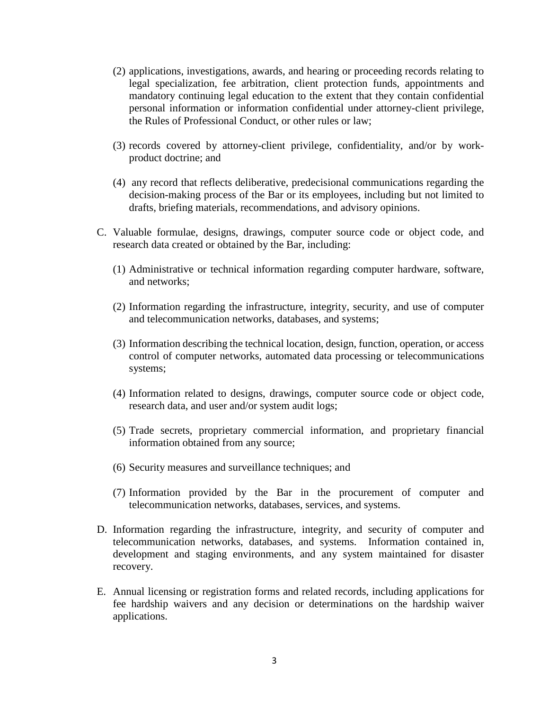- (2) applications, investigations, awards, and hearing or proceeding records relating to legal specialization, fee arbitration, client protection funds, appointments and mandatory continuing legal education to the extent that they contain confidential personal information or information confidential under attorney-client privilege, the Rules of Professional Conduct, or other rules or law;
- (3) records covered by attorney-client privilege, confidentiality, and/or by workproduct doctrine; and
- (4) any record that reflects deliberative, predecisional communications regarding the decision-making process of the Bar or its employees, including but not limited to drafts, briefing materials, recommendations, and advisory opinions.
- C. Valuable formulae, designs, drawings, computer source code or object code, and research data created or obtained by the Bar, including:
	- (1) Administrative or technical information regarding computer hardware, software, and networks;
	- (2) Information regarding the infrastructure, integrity, security, and use of computer and telecommunication networks, databases, and systems;
	- (3) Information describing the technical location, design, function, operation, or access control of computer networks, automated data processing or telecommunications systems;
	- (4) Information related to designs, drawings, computer source code or object code, research data, and user and/or system audit logs;
	- (5) Trade secrets, proprietary commercial information, and proprietary financial information obtained from any source;
	- (6) Security measures and surveillance techniques; and
	- (7) Information provided by the Bar in the procurement of computer and telecommunication networks, databases, services, and systems.
- D. Information regarding the infrastructure, integrity, and security of computer and telecommunication networks, databases, and systems. Information contained in, development and staging environments, and any system maintained for disaster recovery.
- E. Annual licensing or registration forms and related records, including applications for fee hardship waivers and any decision or determinations on the hardship waiver applications.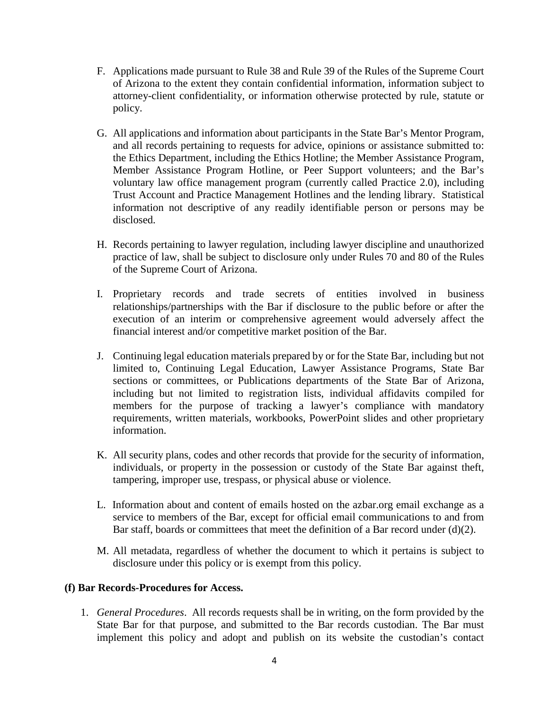- F. Applications made pursuant to Rule 38 and Rule 39 of the Rules of the Supreme Court of Arizona to the extent they contain confidential information, information subject to attorney-client confidentiality, or information otherwise protected by rule, statute or policy.
- G. All applications and information about participants in the State Bar's Mentor Program, and all records pertaining to requests for advice, opinions or assistance submitted to: the Ethics Department, including the Ethics Hotline; the Member Assistance Program, Member Assistance Program Hotline, or Peer Support volunteers; and the Bar's voluntary law office management program (currently called Practice 2.0), including Trust Account and Practice Management Hotlines and the lending library. Statistical information not descriptive of any readily identifiable person or persons may be disclosed.
- H. Records pertaining to lawyer regulation, including lawyer discipline and unauthorized practice of law, shall be subject to disclosure only under Rules 70 and 80 of the Rules of the Supreme Court of Arizona.
- I. Proprietary records and trade secrets of entities involved in business relationships/partnerships with the Bar if disclosure to the public before or after the execution of an interim or comprehensive agreement would adversely affect the financial interest and/or competitive market position of the Bar.
- J. Continuing legal education materials prepared by or for the State Bar, including but not limited to, Continuing Legal Education, Lawyer Assistance Programs, State Bar sections or committees, or Publications departments of the State Bar of Arizona, including but not limited to registration lists, individual affidavits compiled for members for the purpose of tracking a lawyer's compliance with mandatory requirements, written materials, workbooks, PowerPoint slides and other proprietary information.
- K. All security plans, codes and other records that provide for the security of information, individuals, or property in the possession or custody of the State Bar against theft, tampering, improper use, trespass, or physical abuse or violence.
- L. Information about and content of emails hosted on the azbar.org email exchange as a service to members of the Bar, except for official email communications to and from Bar staff, boards or committees that meet the definition of a Bar record under (d)(2).
- M. All metadata, regardless of whether the document to which it pertains is subject to disclosure under this policy or is exempt from this policy.

### **(f) Bar Records-Procedures for Access.**

1. *General Procedures*. All records requests shall be in writing, on the form provided by the State Bar for that purpose, and submitted to the Bar records custodian. The Bar must implement this policy and adopt and publish on its website the custodian's contact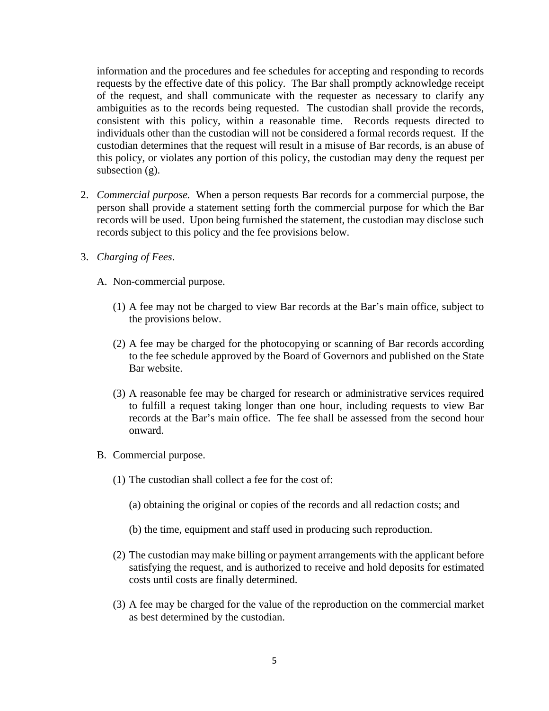information and the procedures and fee schedules for accepting and responding to records requests by the effective date of this policy. The Bar shall promptly acknowledge receipt of the request, and shall communicate with the requester as necessary to clarify any ambiguities as to the records being requested. The custodian shall provide the records, consistent with this policy, within a reasonable time. Records requests directed to individuals other than the custodian will not be considered a formal records request. If the custodian determines that the request will result in a misuse of Bar records, is an abuse of this policy, or violates any portion of this policy, the custodian may deny the request per subsection (g).

- 2. *Commercial purpose.* When a person requests Bar records for a commercial purpose, the person shall provide a statement setting forth the commercial purpose for which the Bar records will be used. Upon being furnished the statement, the custodian may disclose such records subject to this policy and the fee provisions below.
- 3. *Charging of Fees*.
	- A. Non-commercial purpose.
		- (1) A fee may not be charged to view Bar records at the Bar's main office, subject to the provisions below.
		- (2) A fee may be charged for the photocopying or scanning of Bar records according to the fee schedule approved by the Board of Governors and published on the State Bar website.
		- (3) A reasonable fee may be charged for research or administrative services required to fulfill a request taking longer than one hour, including requests to view Bar records at the Bar's main office. The fee shall be assessed from the second hour onward.
	- B. Commercial purpose.
		- (1) The custodian shall collect a fee for the cost of:
			- (a) obtaining the original or copies of the records and all redaction costs; and
			- (b) the time, equipment and staff used in producing such reproduction.
		- (2) The custodian may make billing or payment arrangements with the applicant before satisfying the request, and is authorized to receive and hold deposits for estimated costs until costs are finally determined.
		- (3) A fee may be charged for the value of the reproduction on the commercial market as best determined by the custodian.